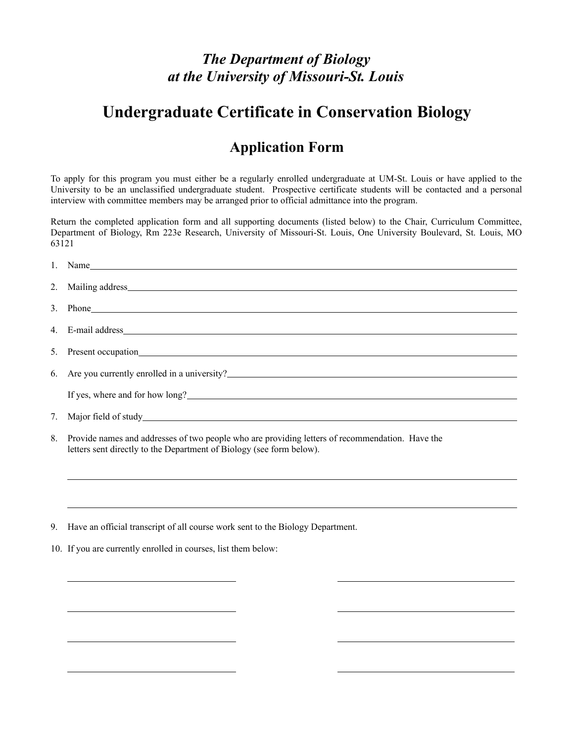### *The Department of Biology at the University of Missouri-St. Louis*

## **Undergraduate Certificate in Conservation Biology**

#### **Application Form**

To apply for this program you must either be a regularly enrolled undergraduate at UM-St. Louis or have applied to the University to be an unclassified undergraduate student. Prospective certificate students will be contacted and a personal interview with committee members may be arranged prior to official admittance into the program.

Return the completed application form and all supporting documents (listed below) to the Chair, Curriculum Committee, Department of Biology, Rm 223e Research, University of Missouri-St. Louis, One University Boulevard, St. Louis, MO 63121

| 3. Phone                                                                                                                                                                                                                             |
|--------------------------------------------------------------------------------------------------------------------------------------------------------------------------------------------------------------------------------------|
|                                                                                                                                                                                                                                      |
|                                                                                                                                                                                                                                      |
| 6. Are you currently enrolled in a university?                                                                                                                                                                                       |
| If yes, where and for how long?<br><u>Letting</u> the state of the state of the state of the state of the state of the state of the state of the state of the state of the state of the state of the state of the state of the state |
|                                                                                                                                                                                                                                      |
| 8. Provide names and addresses of two people who are providing letters of recommendation. Have the<br>letters sent directly to the Department of Biology (see form below).                                                           |

9. Have an official transcript of all course work sent to the Biology Department.

10. If you are currently enrolled in courses, list them below:

 $\overline{a}$ 

 $\overline{a}$ 

 $\overline{a}$ 

 $\overline{a}$ 

 $\overline{a}$